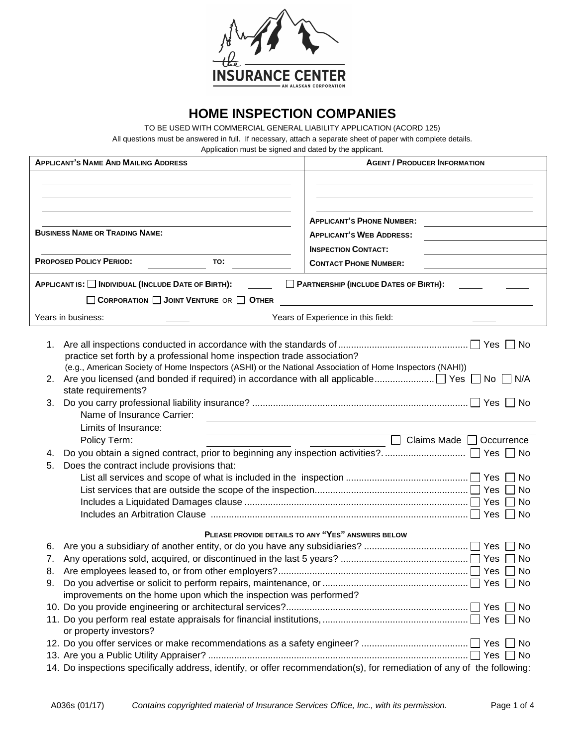

# **HOME INSPECTION COMPANIES**

TO BE USED WITH COMMERCIAL GENERAL LIABILITY APPLICATION (ACORD 125) All questions must be answered in full. If necessary, attach a separate sheet of paper with complete details.

Application must be signed and dated by the applicant.

| <b>APPLICANT'S PHONE NUMBER:</b><br><b>BUSINESS NAME OR TRADING NAME:</b><br><b>APPLICANT'S WEB ADDRESS:</b><br><b>INSPECTION CONTACT:</b><br><b>PROPOSED POLICY PERIOD:</b><br>TO:<br><b>CONTACT PHONE NUMBER:</b><br>APPLICANT IS: [ INDIVIDUAL (INCLUDE DATE OF BIRTH):<br>PARTNERSHIP (INCLUDE DATES OF BIRTH):<br>CORPORATION JOINT VENTURE OR OTHER<br><u> 1980 - Jan Stein Stein Stein Stein Stein Stein Stein Stein Stein Stein Stein Stein Stein Stein Stein Stein S</u><br>Years in business:<br>Years of Experience in this field:<br>1. |  |  |  |  |  |  |  |
|-----------------------------------------------------------------------------------------------------------------------------------------------------------------------------------------------------------------------------------------------------------------------------------------------------------------------------------------------------------------------------------------------------------------------------------------------------------------------------------------------------------------------------------------------------|--|--|--|--|--|--|--|
|                                                                                                                                                                                                                                                                                                                                                                                                                                                                                                                                                     |  |  |  |  |  |  |  |
|                                                                                                                                                                                                                                                                                                                                                                                                                                                                                                                                                     |  |  |  |  |  |  |  |
|                                                                                                                                                                                                                                                                                                                                                                                                                                                                                                                                                     |  |  |  |  |  |  |  |
|                                                                                                                                                                                                                                                                                                                                                                                                                                                                                                                                                     |  |  |  |  |  |  |  |
|                                                                                                                                                                                                                                                                                                                                                                                                                                                                                                                                                     |  |  |  |  |  |  |  |
|                                                                                                                                                                                                                                                                                                                                                                                                                                                                                                                                                     |  |  |  |  |  |  |  |
|                                                                                                                                                                                                                                                                                                                                                                                                                                                                                                                                                     |  |  |  |  |  |  |  |
|                                                                                                                                                                                                                                                                                                                                                                                                                                                                                                                                                     |  |  |  |  |  |  |  |
|                                                                                                                                                                                                                                                                                                                                                                                                                                                                                                                                                     |  |  |  |  |  |  |  |
|                                                                                                                                                                                                                                                                                                                                                                                                                                                                                                                                                     |  |  |  |  |  |  |  |
| practice set forth by a professional home inspection trade association?<br>(e.g., American Society of Home Inspectors (ASHI) or the National Association of Home Inspectors (NAHI))<br>2.<br>state requirements?<br>3.                                                                                                                                                                                                                                                                                                                              |  |  |  |  |  |  |  |
| Name of Insurance Carrier:<br>Limits of Insurance:<br>Claims Made $\Box$<br>Policy Term:<br>Occurrence                                                                                                                                                                                                                                                                                                                                                                                                                                              |  |  |  |  |  |  |  |
| 4.                                                                                                                                                                                                                                                                                                                                                                                                                                                                                                                                                  |  |  |  |  |  |  |  |
| Does the contract include provisions that:<br>5.<br>∣No<br>No<br><b>No</b>                                                                                                                                                                                                                                                                                                                                                                                                                                                                          |  |  |  |  |  |  |  |
| PLEASE PROVIDE DETAILS TO ANY "YES" ANSWERS BELOW                                                                                                                                                                                                                                                                                                                                                                                                                                                                                                   |  |  |  |  |  |  |  |
| $\sqcap$ No<br>6.                                                                                                                                                                                                                                                                                                                                                                                                                                                                                                                                   |  |  |  |  |  |  |  |
| No                                                                                                                                                                                                                                                                                                                                                                                                                                                                                                                                                  |  |  |  |  |  |  |  |
|                                                                                                                                                                                                                                                                                                                                                                                                                                                                                                                                                     |  |  |  |  |  |  |  |
| improvements on the home upon which the inspection was performed?                                                                                                                                                                                                                                                                                                                                                                                                                                                                                   |  |  |  |  |  |  |  |
|                                                                                                                                                                                                                                                                                                                                                                                                                                                                                                                                                     |  |  |  |  |  |  |  |
|                                                                                                                                                                                                                                                                                                                                                                                                                                                                                                                                                     |  |  |  |  |  |  |  |
| or property investors?                                                                                                                                                                                                                                                                                                                                                                                                                                                                                                                              |  |  |  |  |  |  |  |
|                                                                                                                                                                                                                                                                                                                                                                                                                                                                                                                                                     |  |  |  |  |  |  |  |
| 14. Do inspections specifically address, identify, or offer recommendation(s), for remediation of any of the following:                                                                                                                                                                                                                                                                                                                                                                                                                             |  |  |  |  |  |  |  |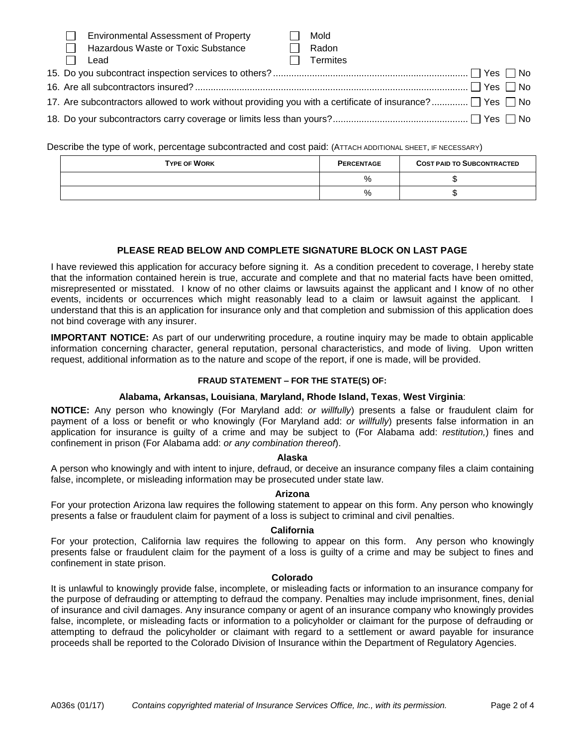| - 171 - 7                                                                                                          | <b>Environmental Assessment of Property</b> |  | Mold            |  |  |
|--------------------------------------------------------------------------------------------------------------------|---------------------------------------------|--|-----------------|--|--|
|                                                                                                                    | Hazardous Waste or Toxic Substance          |  | Radon           |  |  |
|                                                                                                                    | Lead                                        |  | <b>Termites</b> |  |  |
|                                                                                                                    |                                             |  |                 |  |  |
|                                                                                                                    |                                             |  |                 |  |  |
| 17. Are subcontractors allowed to work without providing you with a certificate of insurance? $\Box$ Yes $\Box$ No |                                             |  |                 |  |  |
|                                                                                                                    |                                             |  |                 |  |  |

Describe the type of work, percentage subcontracted and cost paid: (ATTACH ADDITIONAL SHEET, IF NECESSARY)

| <b>TYPE OF WORK</b> | <b>PERCENTAGE</b> | <b>COST PAID TO SUBCONTRACTED</b> |
|---------------------|-------------------|-----------------------------------|
|                     | %                 |                                   |
|                     | %                 |                                   |

# **PLEASE READ BELOW AND COMPLETE SIGNATURE BLOCK ON LAST PAGE**

I have reviewed this application for accuracy before signing it. As a condition precedent to coverage, I hereby state that the information contained herein is true, accurate and complete and that no material facts have been omitted, misrepresented or misstated. I know of no other claims or lawsuits against the applicant and I know of no other events, incidents or occurrences which might reasonably lead to a claim or lawsuit against the applicant. I understand that this is an application for insurance only and that completion and submission of this application does not bind coverage with any insurer.

**IMPORTANT NOTICE:** As part of our underwriting procedure, a routine inquiry may be made to obtain applicable information concerning character, general reputation, personal characteristics, and mode of living. Upon written request, additional information as to the nature and scope of the report, if one is made, will be provided.

# **FRAUD STATEMENT – FOR THE STATE(S) OF:**

# **Alabama, Arkansas, Louisiana**, **Maryland, Rhode Island, Texas**, **West Virginia**:

**NOTICE:** Any person who knowingly (For Maryland add: *or willfully*) presents a false or fraudulent claim for payment of a loss or benefit or who knowingly (For Maryland add: *or willfully*) presents false information in an application for insurance is guilty of a crime and may be subject to (For Alabama add: *restitution,*) fines and confinement in prison (For Alabama add: *or any combination thereof*).

#### **Alaska**

A person who knowingly and with intent to injure, defraud, or deceive an insurance company files a claim containing false, incomplete, or misleading information may be prosecuted under state law.

#### **Arizona**

For your protection Arizona law requires the following statement to appear on this form. Any person who knowingly presents a false or fraudulent claim for payment of a loss is subject to criminal and civil penalties.

# **California**

For your protection, California law requires the following to appear on this form. Any person who knowingly presents false or fraudulent claim for the payment of a loss is guilty of a crime and may be subject to fines and confinement in state prison.

#### **Colorado**

It is unlawful to knowingly provide false, incomplete, or misleading facts or information to an insurance company for the purpose of defrauding or attempting to defraud the company. Penalties may include imprisonment, fines, denial of insurance and civil damages. Any insurance company or agent of an insurance company who knowingly provides false, incomplete, or misleading facts or information to a policyholder or claimant for the purpose of defrauding or attempting to defraud the policyholder or claimant with regard to a settlement or award payable for insurance proceeds shall be reported to the Colorado Division of Insurance within the Department of Regulatory Agencies.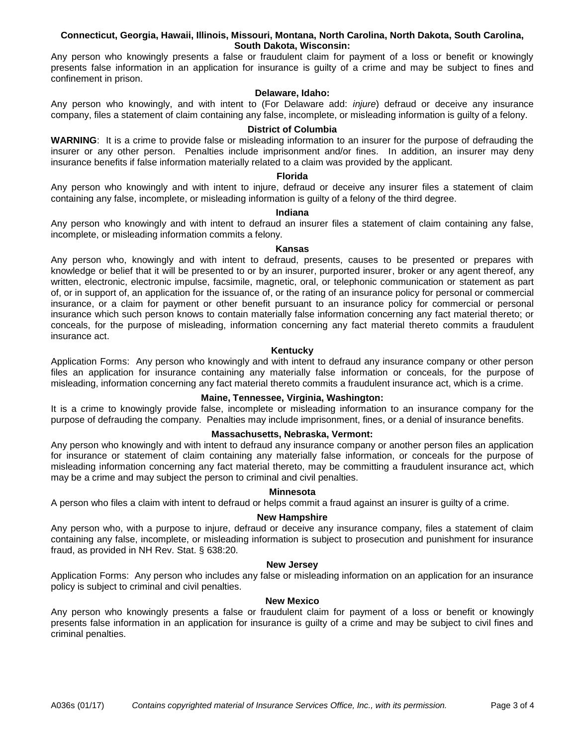## **Connecticut, Georgia, Hawaii, Illinois, Missouri, Montana, North Carolina, North Dakota, South Carolina, South Dakota, Wisconsin:**

Any person who knowingly presents a false or fraudulent claim for payment of a loss or benefit or knowingly presents false information in an application for insurance is guilty of a crime and may be subject to fines and confinement in prison.

# **Delaware, Idaho:**

Any person who knowingly, and with intent to (For Delaware add: *injure*) defraud or deceive any insurance company, files a statement of claim containing any false, incomplete, or misleading information is guilty of a felony.

# **District of Columbia**

**WARNING**: It is a crime to provide false or misleading information to an insurer for the purpose of defrauding the insurer or any other person. Penalties include imprisonment and/or fines. In addition, an insurer may deny insurance benefits if false information materially related to a claim was provided by the applicant.

## **Florida**

Any person who knowingly and with intent to injure, defraud or deceive any insurer files a statement of claim containing any false, incomplete, or misleading information is guilty of a felony of the third degree.

## **Indiana**

Any person who knowingly and with intent to defraud an insurer files a statement of claim containing any false, incomplete, or misleading information commits a felony.

# **Kansas**

Any person who, knowingly and with intent to defraud, presents, causes to be presented or prepares with knowledge or belief that it will be presented to or by an insurer, purported insurer, broker or any agent thereof, any written, electronic, electronic impulse, facsimile, magnetic, oral, or telephonic communication or statement as part of, or in support of, an application for the issuance of, or the rating of an insurance policy for personal or commercial insurance, or a claim for payment or other benefit pursuant to an insurance policy for commercial or personal insurance which such person knows to contain materially false information concerning any fact material thereto; or conceals, for the purpose of misleading, information concerning any fact material thereto commits a fraudulent insurance act.

# **Kentucky**

Application Forms: Any person who knowingly and with intent to defraud any insurance company or other person files an application for insurance containing any materially false information or conceals, for the purpose of misleading, information concerning any fact material thereto commits a fraudulent insurance act, which is a crime.

# **Maine, Tennessee, Virginia, Washington:**

It is a crime to knowingly provide false, incomplete or misleading information to an insurance company for the purpose of defrauding the company. Penalties may include imprisonment, fines, or a denial of insurance benefits.

# **Massachusetts, Nebraska, Vermont:**

Any person who knowingly and with intent to defraud any insurance company or another person files an application for insurance or statement of claim containing any materially false information, or conceals for the purpose of misleading information concerning any fact material thereto, may be committing a fraudulent insurance act, which may be a crime and may subject the person to criminal and civil penalties.

#### **Minnesota**

A person who files a claim with intent to defraud or helps commit a fraud against an insurer is guilty of a crime.

# **New Hampshire**

Any person who, with a purpose to injure, defraud or deceive any insurance company, files a statement of claim containing any false, incomplete, or misleading information is subject to prosecution and punishment for insurance fraud, as provided in NH Rev. Stat. § 638:20.

#### **New Jersey**

Application Forms: Any person who includes any false or misleading information on an application for an insurance policy is subject to criminal and civil penalties.

# **New Mexico**

Any person who knowingly presents a false or fraudulent claim for payment of a loss or benefit or knowingly presents false information in an application for insurance is guilty of a crime and may be subject to civil fines and criminal penalties.